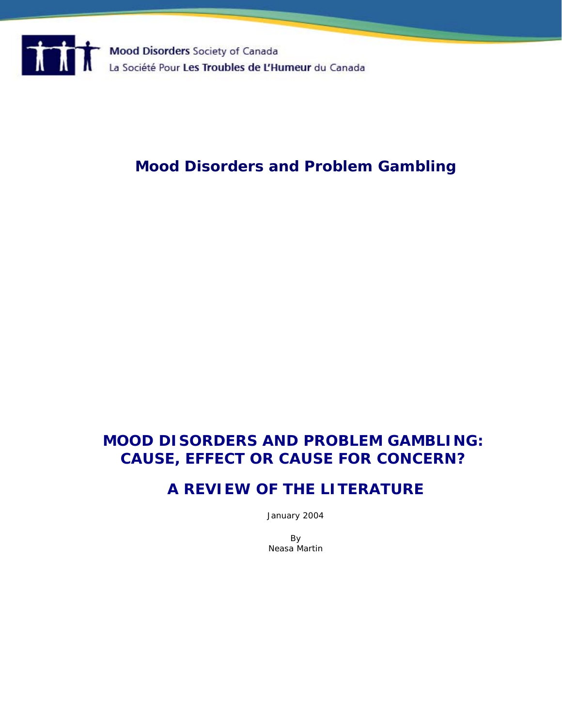

# **Mood Disorders and Problem Gambling**

# **MOOD DISORDERS AND PROBLEM GAMBLING: CAUSE, EFFECT OR CAUSE FOR CONCERN?**

# **A REVIEW OF THE LITERATURE**

January 2004

By Neasa Martin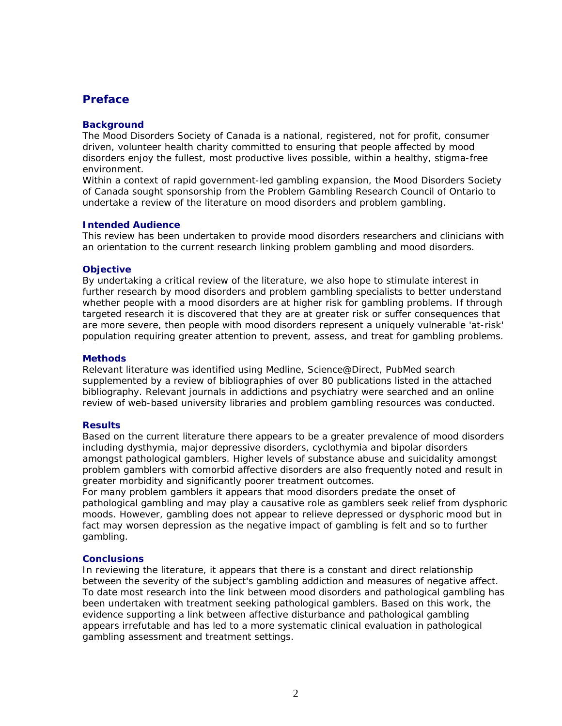## **Preface**

#### **Background**

The Mood Disorders Society of Canada is a national, registered, not for profit, consumer driven, volunteer health charity committed to ensuring that people affected by mood disorders enjoy the fullest, most productive lives possible, within a healthy, stigma-free environment.

Within a context of rapid government-led gambling expansion, the Mood Disorders Society of Canada sought sponsorship from the Problem Gambling Research Council of Ontario to undertake a review of the literature on mood disorders and problem gambling.

#### **Intended Audience**

This review has been undertaken to provide mood disorders researchers and clinicians with an orientation to the current research linking problem gambling and mood disorders.

#### **Objective**

By undertaking a critical review of the literature, we also hope to stimulate interest in further research by mood disorders and problem gambling specialists to better understand whether people with a mood disorders are at higher risk for gambling problems. If through targeted research it is discovered that they are at greater risk or suffer consequences that are more severe, then people with mood disorders represent a uniquely vulnerable 'at-risk' population requiring greater attention to prevent, assess, and treat for gambling problems.

#### **Methods**

Relevant literature was identified using Medline, Science@Direct, PubMed search supplemented by a review of bibliographies of over 80 publications listed in the attached bibliography. Relevant journals in addictions and psychiatry were searched and an online review of web-based university libraries and problem gambling resources was conducted.

#### **Results**

Based on the current literature there appears to be a greater prevalence of mood disorders including dysthymia, major depressive disorders, cyclothymia and bipolar disorders amongst pathological gamblers. Higher levels of substance abuse and suicidality amongst problem gamblers with comorbid affective disorders are also frequently noted and result in greater morbidity and significantly poorer treatment outcomes.

For many problem gamblers it appears that mood disorders predate the onset of pathological gambling and may play a causative role as gamblers seek relief from dysphoric moods. However, gambling does not appear to relieve depressed or dysphoric mood but in fact may worsen depression as the negative impact of gambling is felt and so to further gambling.

#### **Conclusions**

In reviewing the literature, it appears that there is a constant and direct relationship between the severity of the subject's gambling addiction and measures of negative affect. To date most research into the link between mood disorders and pathological gambling has been undertaken with treatment seeking pathological gamblers. Based on this work, the evidence supporting a link between affective disturbance and pathological gambling appears irrefutable and has led to a more systematic clinical evaluation in pathological gambling assessment and treatment settings.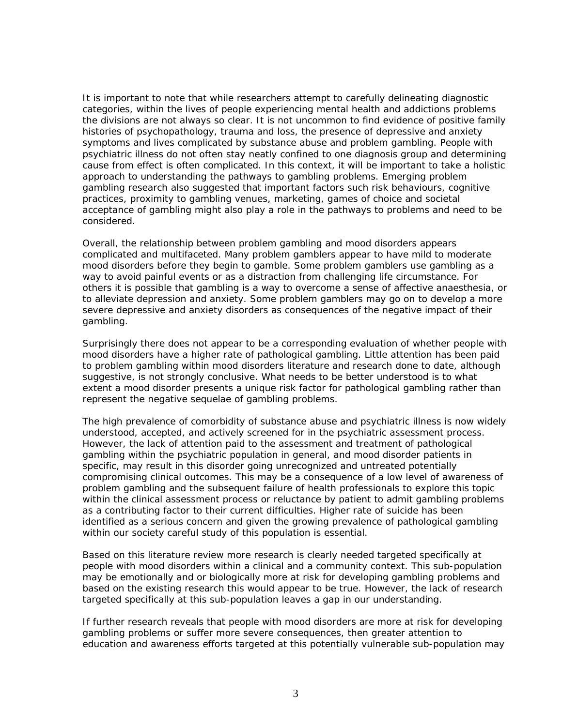It is important to note that while researchers attempt to carefully delineating diagnostic categories, within the lives of people experiencing mental health and addictions problems the divisions are not always so clear. It is not uncommon to find evidence of positive family histories of psychopathology, trauma and loss, the presence of depressive and anxiety symptoms and lives complicated by substance abuse and problem gambling. People with psychiatric illness do not often stay neatly confined to one diagnosis group and determining cause from effect is often complicated. In this context, it will be important to take a holistic approach to understanding the pathways to gambling problems. Emerging problem gambling research also suggested that important factors such risk behaviours, cognitive practices, proximity to gambling venues, marketing, games of choice and societal acceptance of gambling might also play a role in the pathways to problems and need to be considered.

Overall, the relationship between problem gambling and mood disorders appears complicated and multifaceted. Many problem gamblers appear to have mild to moderate mood disorders before they begin to gamble. Some problem gamblers use gambling as a way to avoid painful events or as a distraction from challenging life circumstance. For others it is possible that gambling is a way to overcome a sense of affective anaesthesia, or to alleviate depression and anxiety. Some problem gamblers may go on to develop a more severe depressive and anxiety disorders as consequences of the negative impact of their gambling.

Surprisingly there does not appear to be a corresponding evaluation of whether people with mood disorders have a higher rate of pathological gambling. Little attention has been paid to problem gambling within mood disorders literature and research done to date, although suggestive, is not strongly conclusive. What needs to be better understood is to what extent a mood disorder presents a unique risk factor for pathological gambling rather than represent the negative sequelae of gambling problems.

The high prevalence of comorbidity of substance abuse and psychiatric illness is now widely understood, accepted, and actively screened for in the psychiatric assessment process. However, the lack of attention paid to the assessment and treatment of pathological gambling within the psychiatric population in general, and mood disorder patients in specific, may result in this disorder going unrecognized and untreated potentially compromising clinical outcomes. This may be a consequence of a low level of awareness of problem gambling and the subsequent failure of health professionals to explore this topic within the clinical assessment process or reluctance by patient to admit gambling problems as a contributing factor to their current difficulties. Higher rate of suicide has been identified as a serious concern and given the growing prevalence of pathological gambling within our society careful study of this population is essential.

Based on this literature review more research is clearly needed targeted specifically at people with mood disorders within a clinical and a community context. This sub-population may be emotionally and or biologically more at risk for developing gambling problems and based on the existing research this would appear to be true. However, the lack of research targeted specifically at this sub-population leaves a gap in our understanding.

If further research reveals that people with mood disorders are more at risk for developing gambling problems or suffer more severe consequences, then greater attention to education and awareness efforts targeted at this potentially vulnerable sub-population may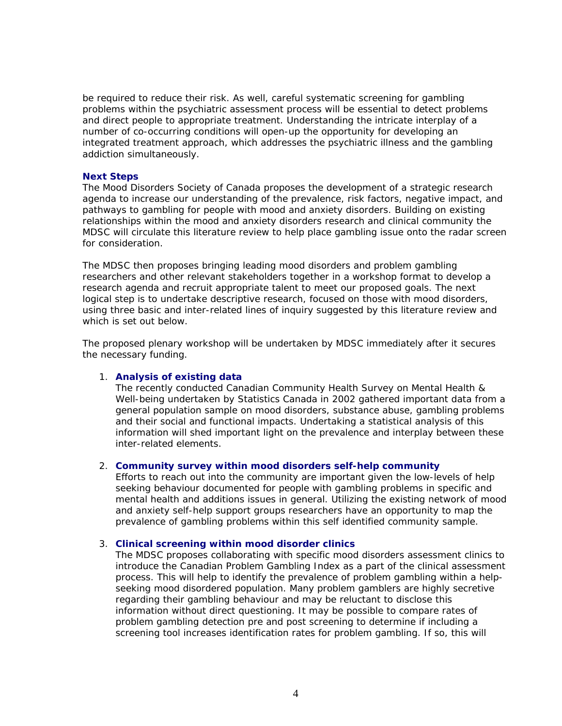be required to reduce their risk. As well, careful systematic screening for gambling problems within the psychiatric assessment process will be essential to detect problems and direct people to appropriate treatment. Understanding the intricate interplay of a number of co-occurring conditions will open-up the opportunity for developing an integrated treatment approach, which addresses the psychiatric illness and the gambling addiction simultaneously.

#### **Next Steps**

The Mood Disorders Society of Canada proposes the development of a strategic research agenda to increase our understanding of the prevalence, risk factors, negative impact, and pathways to gambling for people with mood and anxiety disorders. Building on existing relationships within the mood and anxiety disorders research and clinical community the MDSC will circulate this literature review to help place gambling issue onto the radar screen for consideration.

The MDSC then proposes bringing leading mood disorders and problem gambling researchers and other relevant stakeholders together in a workshop format to develop a research agenda and recruit appropriate talent to meet our proposed goals. The next logical step is to undertake descriptive research, focused on those with mood disorders, using three basic and inter-related lines of inquiry suggested by this literature review and which is set out below.

The proposed plenary workshop will be undertaken by MDSC immediately after it secures the necessary funding.

#### 1. **Analysis of existing data**

The recently conducted Canadian Community Health Survey on Mental Health & Well-being undertaken by Statistics Canada in 2002 gathered important data from a general population sample on mood disorders, substance abuse, gambling problems and their social and functional impacts. Undertaking a statistical analysis of this information will shed important light on the prevalence and interplay between these inter-related elements.

#### 2. **Community survey within mood disorders self-help community**

Efforts to reach out into the community are important given the low-levels of help seeking behaviour documented for people with gambling problems in specific and mental health and additions issues in general. Utilizing the existing network of mood and anxiety self-help support groups researchers have an opportunity to map the prevalence of gambling problems within this self identified community sample.

#### 3. **Clinical screening within mood disorder clinics**

The MDSC proposes collaborating with specific mood disorders assessment clinics to introduce the Canadian Problem Gambling Index as a part of the clinical assessment process. This will help to identify the prevalence of problem gambling within a helpseeking mood disordered population. Many problem gamblers are highly secretive regarding their gambling behaviour and may be reluctant to disclose this information without direct questioning. It may be possible to compare rates of problem gambling detection pre and post screening to determine if including a screening tool increases identification rates for problem gambling. If so, this will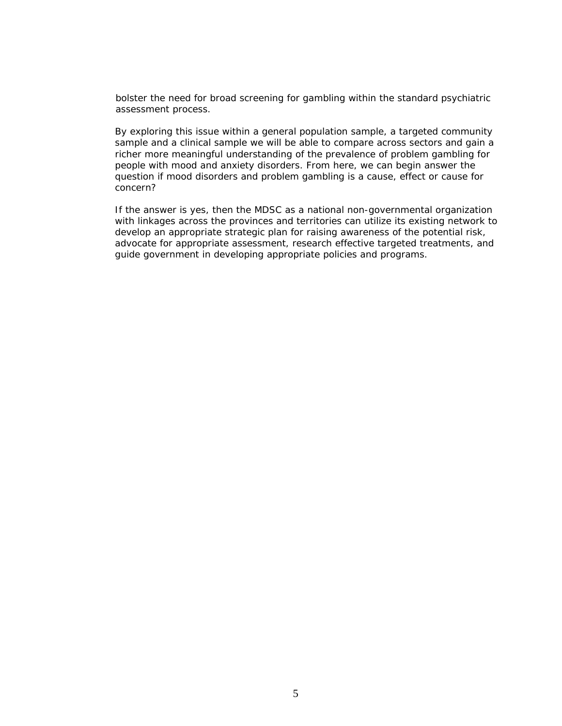bolster the need for broad screening for gambling within the standard psychiatric assessment process.

By exploring this issue within a general population sample, a targeted community sample and a clinical sample we will be able to compare across sectors and gain a richer more meaningful understanding of the prevalence of problem gambling for people with mood and anxiety disorders. From here, we can begin answer the question if mood disorders and problem gambling is a cause, effect or cause for concern?

If the answer is yes, then the MDSC as a national non-governmental organization with linkages across the provinces and territories can utilize its existing network to develop an appropriate strategic plan for raising awareness of the potential risk, advocate for appropriate assessment, research effective targeted treatments, and guide government in developing appropriate policies and programs.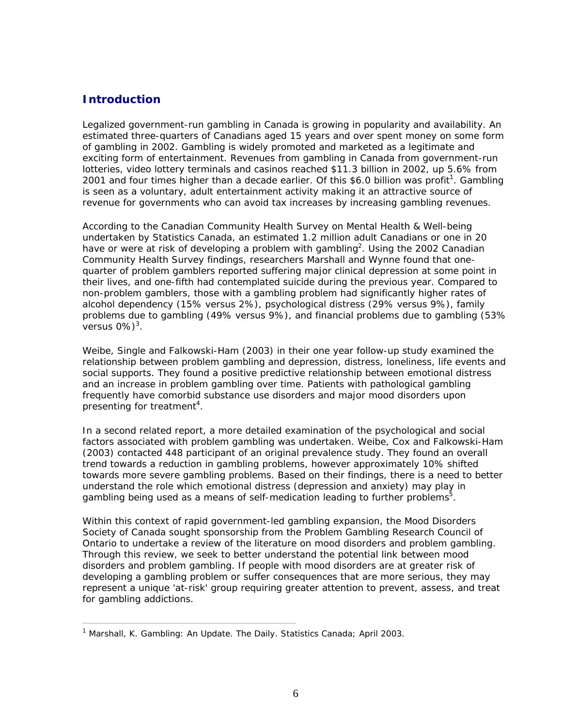## **Introduction**

Legalized government-run gambling in Canada is growing in popularity and availability. An estimated three-quarters of Canadians aged 15 years and over spent money on some form of gambling in 2002. Gambling is widely promoted and marketed as a legitimate and exciting form of entertainment. Revenues from gambling in Canada from government-run lotteries, video lottery terminals and casinos reached \$11.3 billion in 2002, up 5.6% from 2001 and four times higher than a decade earlier. Of this \$6.0 billion was profit<sup>1</sup>. Gambling is seen as a voluntary, adult entertainment activity making it an attractive source of revenue for governments who can avoid tax increases by increasing gambling revenues.

According to the Canadian Community Health Survey on Mental Health & Well-being undertaken by Statistics Canada, an estimated 1.2 million adult Canadians or one in 20 have or were at risk of developing a problem with gambling<sup>2</sup>. Using the 2002 Canadian Community Health Survey findings, researchers Marshall and Wynne found that onequarter of problem gamblers reported suffering major clinical depression at some point in their lives, and one-fifth had contemplated suicide during the previous year. Compared to non-problem gamblers, those with a gambling problem had significantly higher rates of alcohol dependency (15% versus 2%), psychological distress (29% versus 9%), family problems due to gambling (49% versus 9%), and financial problems due to gambling (53% versus 0% $)^3$ .

Weibe, Single and Falkowski-Ham (2003) in their one year follow-up study examined the relationship between problem gambling and depression, distress, loneliness, life events and social supports. They found a positive predictive relationship between emotional distress and an increase in problem gambling over time. Patients with pathological gambling frequently have comorbid substance use disorders and major mood disorders upon presenting for treatment<sup>4</sup>.

In a second related report, a more detailed examination of the psychological and social factors associated with problem gambling was undertaken. Weibe, Cox and Falkowski-Ham (2003) contacted 448 participant of an original prevalence study. They found an overall trend towards a reduction in gambling problems, however approximately 10% shifted towards more severe gambling problems. Based on their findings, there is a need to better understand the role which emotional distress (depression and anxiety) may play in gambling being used as a means of self-medication leading to further problems<sup>5</sup>.

Within this context of rapid government-led gambling expansion, the Mood Disorders Society of Canada sought sponsorship from the Problem Gambling Research Council of Ontario to undertake a review of the literature on mood disorders and problem gambling. Through this review, we seek to better understand the potential link between mood disorders and problem gambling. If people with mood disorders are at greater risk of developing a gambling problem or suffer consequences that are more serious, they may represent a unique 'at-risk' group requiring greater attention to prevent, assess, and treat for gambling addictions.

<sup>&</sup>lt;sup>1</sup> Marshall, K. Gambling: An Update. The Daily. Statistics Canada; April 2003.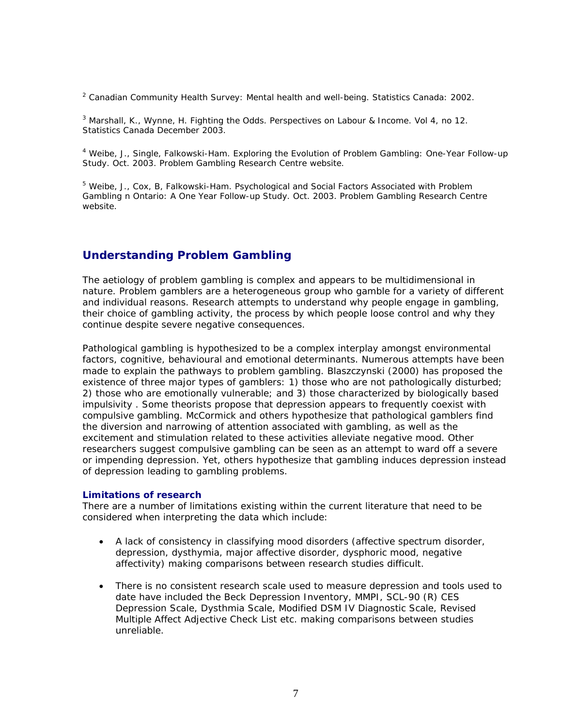<sup>2</sup> Canadian Community Health Survey: Mental health and well-being. Statistics Canada: 2002.

3 Marshall, K., Wynne, H. Fighting the Odds. *Perspectives on Labour & Income*. Vol 4, no 12. Statistics Canada December 2003.

<sup>4</sup> Weibe, J., Single, Falkowski-Ham. Exploring the Evolution of Problem Gambling: One-Year Follow-up Study. Oct. 2003. *Problem Gambling Research Centre website.*

<sup>5</sup> Weibe, J., Cox, B, Falkowski-Ham. Psychological and Social Factors Associated with Problem Gambling n Ontario: A One Year Follow-up Study. Oct. 2003. *Problem Gambling Research Centre website*.

## **Understanding Problem Gambling**

The aetiology of problem gambling is complex and appears to be multidimensional in nature. Problem gamblers are a heterogeneous group who gamble for a variety of different and individual reasons. Research attempts to understand why people engage in gambling, their choice of gambling activity, the process by which people loose control and why they continue despite severe negative consequences.

Pathological gambling is hypothesized to be a complex interplay amongst environmental factors, cognitive, behavioural and emotional determinants. Numerous attempts have been made to explain the pathways to problem gambling. Blaszczynski (2000) has proposed the existence of three major types of gamblers: 1) those who are not pathologically disturbed; 2) those who are emotionally vulnerable; and 3) those characterized by biologically based impulsivity . Some theorists propose that depression appears to frequently coexist with compulsive gambling. McCormick and others hypothesize that pathological gamblers find the diversion and narrowing of attention associated with gambling, as well as the excitement and stimulation related to these activities alleviate negative mood. Other researchers suggest compulsive gambling can be seen as an attempt to ward off a severe or impending depression. Yet, others hypothesize that gambling induces depression instead of depression leading to gambling problems.

#### **Limitations of research**

There are a number of limitations existing within the current literature that need to be considered when interpreting the data which include:

- A lack of consistency in classifying mood disorders (affective spectrum disorder, depression, dysthymia, major affective disorder, dysphoric mood, negative affectivity) making comparisons between research studies difficult.
- There is no consistent research scale used to measure depression and tools used to date have included the Beck Depression Inventory, MMPI, SCL-90 (R) CES Depression Scale, Dysthmia Scale, Modified DSM IV Diagnostic Scale, Revised Multiple Affect Adjective Check List etc. making comparisons between studies unreliable.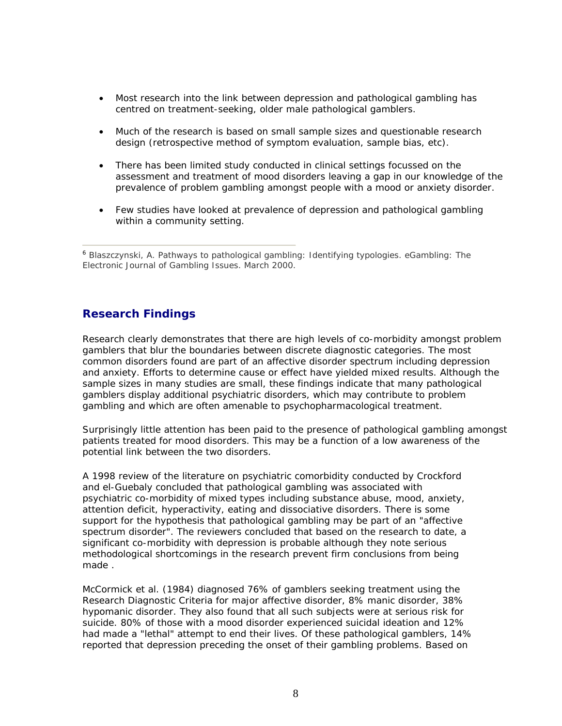- Most research into the link between depression and pathological gambling has centred on treatment-seeking, older male pathological gamblers.
- Much of the research is based on small sample sizes and questionable research design (retrospective method of symptom evaluation, sample bias, etc).
- There has been limited study conducted in clinical settings focussed on the assessment and treatment of mood disorders leaving a gap in our knowledge of the prevalence of problem gambling amongst people with a mood or anxiety disorder.
- Few studies have looked at prevalence of depression and pathological gambling within a community setting.

<sup>6</sup> Blaszczynski, A. Pathways to pathological gambling: Identifying typologies. eGambling: The Electronic Journal of Gambling Issues. March 2000.

## **Research Findings**

Research clearly demonstrates that there are high levels of co-morbidity amongst problem gamblers that blur the boundaries between discrete diagnostic categories. The most common disorders found are part of an affective disorder spectrum including depression and anxiety. Efforts to determine cause or effect have yielded mixed results. Although the sample sizes in many studies are small, these findings indicate that many pathological gamblers display additional psychiatric disorders, which may contribute to problem gambling and which are often amenable to psychopharmacological treatment.

Surprisingly little attention has been paid to the presence of pathological gambling amongst patients treated for mood disorders. This may be a function of a low awareness of the potential link between the two disorders.

A 1998 review of the literature on psychiatric comorbidity conducted by Crockford and el-Guebaly concluded that pathological gambling was associated with psychiatric co-morbidity of mixed types including substance abuse, mood, anxiety, attention deficit, hyperactivity, eating and dissociative disorders. There is some support for the hypothesis that pathological gambling may be part of an "affective spectrum disorder". The reviewers concluded that based on the research to date, a significant co-morbidity with depression is probable although they note serious methodological shortcomings in the research prevent firm conclusions from being made .

McCormick et al. (1984) diagnosed 76% of gamblers seeking treatment using the Research Diagnostic Criteria for major affective disorder, 8% manic disorder, 38% hypomanic disorder. They also found that all such subjects were at serious risk for suicide. 80% of those with a mood disorder experienced suicidal ideation and 12% had made a "lethal" attempt to end their lives. Of these pathological gamblers, 14% reported that depression preceding the onset of their gambling problems. Based on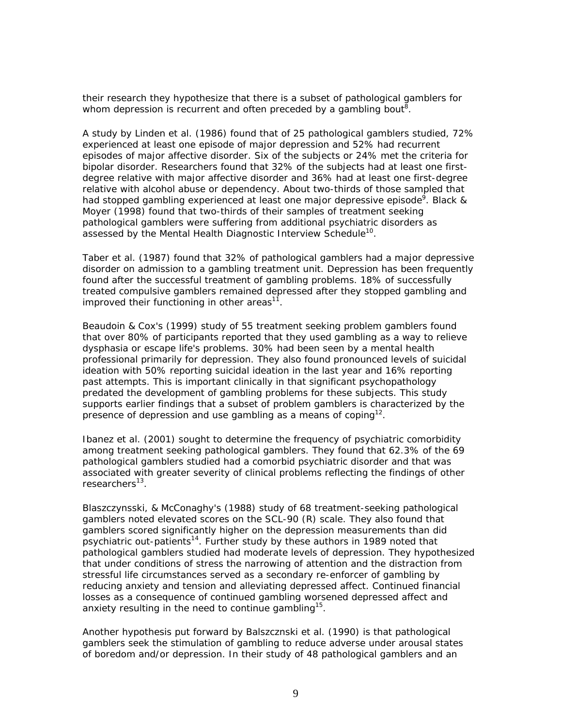their research they hypothesize that there is a subset of pathological gamblers for whom depression is recurrent and often preceded by a gambling bout<sup>8</sup>.

A study by Linden et al. (1986) found that of 25 pathological gamblers studied, 72% experienced at least one episode of major depression and 52% had recurrent episodes of major affective disorder. Six of the subjects or 24% met the criteria for bipolar disorder. Researchers found that 32% of the subjects had at least one firstdegree relative with major affective disorder and 36% had at least one first-degree relative with alcohol abuse or dependency. About two-thirds of those sampled that had stopped gambling experienced at least one major depressive episode<sup>9</sup>. Black & Moyer (1998) found that two-thirds of their samples of treatment seeking pathological gamblers were suffering from additional psychiatric disorders as assessed by the Mental Health Diagnostic Interview Schedule<sup>10</sup>.

Taber et al. (1987) found that 32% of pathological gamblers had a major depressive disorder on admission to a gambling treatment unit. Depression has been frequently found after the successful treatment of gambling problems. 18% of successfully treated compulsive gamblers remained depressed after they stopped gambling and improved their functioning in other areas $^{11}$ .

Beaudoin & Cox's (1999) study of 55 treatment seeking problem gamblers found that over 80% of participants reported that they used gambling as a way to relieve dysphasia or escape life's problems. 30% had been seen by a mental health professional primarily for depression. They also found pronounced levels of suicidal ideation with 50% reporting suicidal ideation in the last year and 16% reporting past attempts. This is important clinically in that significant psychopathology predated the development of gambling problems for these subjects. This study supports earlier findings that a subset of problem gamblers is characterized by the presence of depression and use gambling as a means of coping<sup>12</sup>.

Ibanez et al. (2001) sought to determine the frequency of psychiatric comorbidity among treatment seeking pathological gamblers. They found that 62.3% of the 69 pathological gamblers studied had a comorbid psychiatric disorder and that was associated with greater severity of clinical problems reflecting the findings of other  $researchers<sup>13</sup>$ .

Blaszczynsski, & McConaghy's (1988) study of 68 treatment-seeking pathological gamblers noted elevated scores on the SCL-90 (R) scale. They also found that gamblers scored significantly higher on the depression measurements than did psychiatric out-patients<sup>14</sup>. Further study by these authors in 1989 noted that pathological gamblers studied had moderate levels of depression. They hypothesized that under conditions of stress the narrowing of attention and the distraction from stressful life circumstances served as a secondary re-enforcer of gambling by reducing anxiety and tension and alleviating depressed affect. Continued financial losses as a consequence of continued gambling worsened depressed affect and anxiety resulting in the need to continue gambling<sup>15</sup>.

Another hypothesis put forward by Balszcznski et al. (1990) is that pathological gamblers seek the stimulation of gambling to reduce adverse under arousal states of boredom and/or depression. In their study of 48 pathological gamblers and an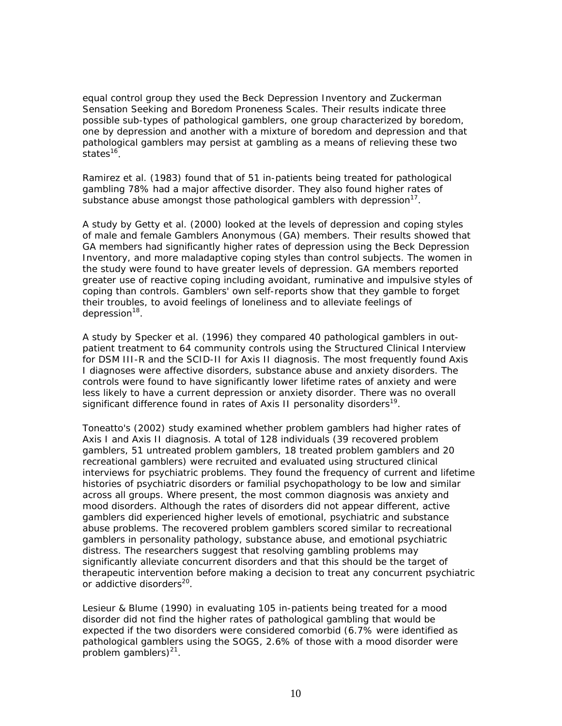equal control group they used the Beck Depression Inventory and Zuckerman Sensation Seeking and Boredom Proneness Scales. Their results indicate three possible sub-types of pathological gamblers, one group characterized by boredom, one by depression and another with a mixture of boredom and depression and that pathological gamblers may persist at gambling as a means of relieving these two states<sup>16</sup>.

Ramirez et al. (1983) found that of 51 in-patients being treated for pathological gambling 78% had a major affective disorder. They also found higher rates of substance abuse amongst those pathological gamblers with depression $17$ .

A study by Getty et al. (2000) looked at the levels of depression and coping styles of male and female Gamblers Anonymous (GA) members. Their results showed that GA members had significantly higher rates of depression using the Beck Depression Inventory, and more maladaptive coping styles than control subjects. The women in the study were found to have greater levels of depression. GA members reported greater use of reactive coping including avoidant, ruminative and impulsive styles of coping than controls. Gamblers' own self-reports show that they gamble to forget their troubles, to avoid feelings of loneliness and to alleviate feelings of depression<sup>18</sup>.

A study by Specker et al. (1996) they compared 40 pathological gamblers in outpatient treatment to 64 community controls using the Structured Clinical Interview for DSM III-R and the SCID-II for Axis II diagnosis. The most frequently found Axis I diagnoses were affective disorders, substance abuse and anxiety disorders. The controls were found to have significantly lower lifetime rates of anxiety and were less likely to have a current depression or anxiety disorder. There was no overall significant difference found in rates of Axis II personality disorders<sup>19</sup>.

Toneatto's (2002) study examined whether problem gamblers had higher rates of Axis I and Axis II diagnosis. A total of 128 individuals (39 recovered problem gamblers, 51 untreated problem gamblers, 18 treated problem gamblers and 20 recreational gamblers) were recruited and evaluated using structured clinical interviews for psychiatric problems. They found the frequency of current and lifetime histories of psychiatric disorders or familial psychopathology to be low and similar across all groups. Where present, the most common diagnosis was anxiety and mood disorders. Although the rates of disorders did not appear different, active gamblers did experienced higher levels of emotional, psychiatric and substance abuse problems. The recovered problem gamblers scored similar to recreational gamblers in personality pathology, substance abuse, and emotional psychiatric distress. The researchers suggest that resolving gambling problems may significantly alleviate concurrent disorders and that this should be the target of therapeutic intervention before making a decision to treat any concurrent psychiatric or addictive disorders<sup>20</sup>.

Lesieur & Blume (1990) in evaluating 105 in-patients being treated for a mood disorder did not find the higher rates of pathological gambling that would be expected if the two disorders were considered comorbid (6.7% were identified as pathological gamblers using the SOGS, 2.6% of those with a mood disorder were problem gamblers) $^{21}$ .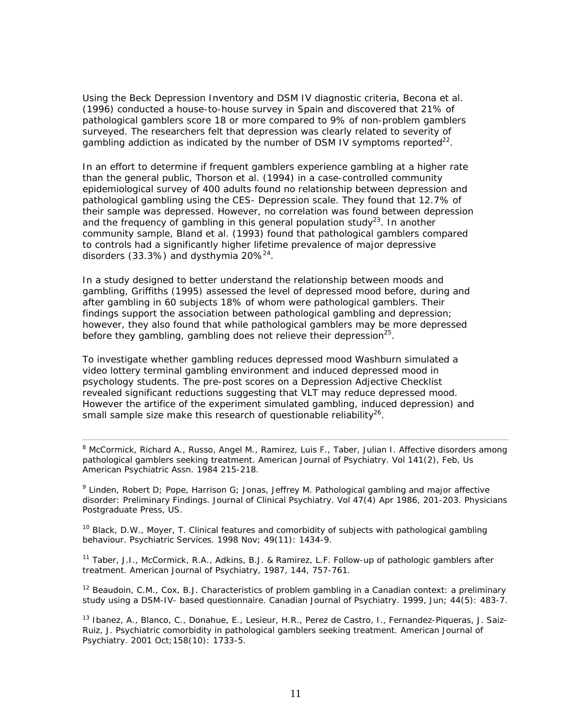Using the Beck Depression Inventory and DSM IV diagnostic criteria, Becona et al. (1996) conducted a house-to-house survey in Spain and discovered that 21% of pathological gamblers score 18 or more compared to 9% of non-problem gamblers surveyed. The researchers felt that depression was clearly related to severity of gambling addiction as indicated by the number of DSM IV symptoms reported<sup>22</sup>.

In an effort to determine if frequent gamblers experience gambling at a higher rate than the general public, Thorson et al. (1994) in a case-controlled community epidemiological survey of 400 adults found no relationship between depression and pathological gambling using the CES- Depression scale. They found that 12.7% of their sample was depressed. However, no correlation was found between depression and the frequency of gambling in this general population study<sup>23</sup>. In another community sample, Bland et al. (1993) found that pathological gamblers compared to controls had a significantly higher lifetime prevalence of major depressive disorders (33.3%) and dysthymia  $20\%^{24}$ .

In a study designed to better understand the relationship between moods and gambling, Griffiths (1995) assessed the level of depressed mood before, during and after gambling in 60 subjects 18% of whom were pathological gamblers. Their findings support the association between pathological gambling and depression; however, they also found that while pathological gamblers may be more depressed before they gambling, gambling does not relieve their depression<sup>25</sup>.

To investigate whether gambling reduces depressed mood Washburn simulated a video lottery terminal gambling environment and induced depressed mood in psychology students. The pre-post scores on a Depression Adjective Checklist revealed significant reductions suggesting that VLT may reduce depressed mood. However the artifice of the experiment simulated gambling, induced depression) and small sample size make this research of questionable reliability<sup>26</sup>.

<sup>8</sup> McCormick, Richard A., Russo, Angel M., Ramirez, Luis F., Taber, Julian I. Affective disorders among pathological gamblers seeking treatment. *American Journal of Psychiatry. Vol 141(2)*, Feb, Us American Psychiatric Assn. 1984 215-218.

<sup>9</sup> Linden, Robert D; Pope, Harrison G; Jonas, Jeffrey M. Pathological gambling and major affective disorder: Preliminary Findings. *Journal of Clinical Psychiatry. Vol 47(4)* Apr 1986, 201-203. Physicians Postgraduate Press, US.

<sup>10</sup> Black, D.W., Moyer, T. Clinical features and comorbidity of subjects with pathological gambling behaviour. *Psychiatric Services*. 1998 Nov; 49(11): 1434-9.

11 Taber, J.I., McCormick, R.A., Adkins, B.J. & Ramirez, L.F. *Follow-up of pathologic gamblers after treatment.* American Journal of Psychiatry, 1987, 144, 757-761.

<sup>12</sup> Beaudoin, C.M., Cox, B.J. Characteristics of problem gambling in a Canadian context: a preliminary study using a DSM-IV- based questionnaire. *Canadian Journal of Psychiatry.* 1999, Jun; 44(5): 483-7.

<sup>13</sup> Ibanez, A., Blanco, C., Donahue, E., Lesieur, H.R., Perez de Castro, I., Fernandez-Piqueras, J. Saiz-Ruiz, J. Psychiatric comorbidity in pathological gamblers seeking treatment. *American Journal of Psychiatry*. 2001 Oct;158(10): 1733-5.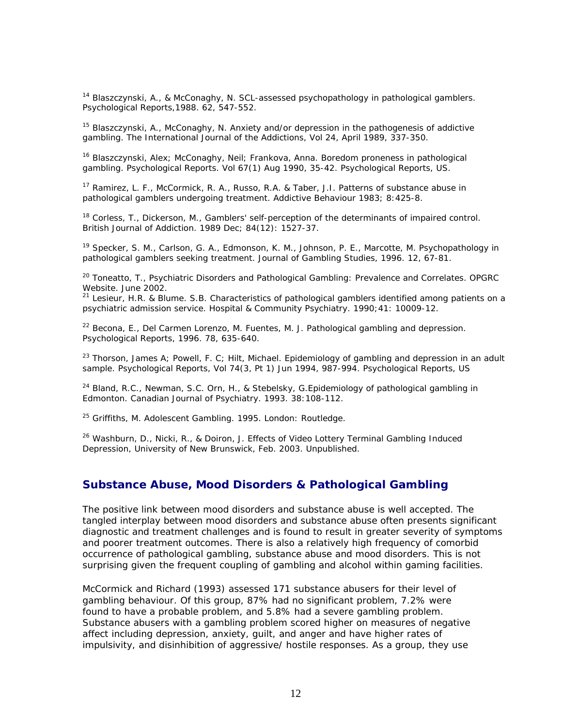14 Blaszczynski, A., & McConaghy, N. SCL-assessed psychopathology in pathological gamblers. *Psychological Reports*,1988. 62, 547-552.

<sup>15</sup> Blaszczynski, A., McConaghy, N. Anxiety and/or depression in the pathogenesis of addictive gambling. *The International Journal of the Addictions,* Vol 24, April 1989, 337-350.

<sup>16</sup> Blaszczynski, Alex; McConaghy, Neil; Frankova, Anna. Boredom proneness in pathological gambling. *Psychological Reports. Vol 67(1)* Aug 1990, 35-42. Psychological Reports, US.

<sup>17</sup> Ramirez, L. F., McCormick, R. A., Russo, R.A. & Taber, J.I. Patterns of substance abuse in pathological gamblers undergoing treatment. *Addictive Behaviour* 1983; 8:425-8.

<sup>18</sup> Corless, T., Dickerson, M., Gamblers' self-perception of the determinants of impaired control. *British Journal of Addiction*. 1989 Dec; 84(12): 1527-37.

<sup>19</sup> Specker, S. M., Carlson, G. A., Edmonson, K. M., Johnson, P. E., Marcotte, M. Psychopathology in pathological gamblers seeking treatment. *Journal of Gambling Studies*, 1996. 12, 67-81.

20 Toneatto, T., Psychiatric Disorders and Pathological Gambling: Prevalence and Correlates. *OPGRC* 

<sup>21</sup> Lesieur, H.R. & Blume. S.B. Characteristics of pathological gamblers identified among patients on a psychiatric admission service. *Hospital & Community Psychiatry*. 1990;41: 10009-12.

 $22$  Becona, E., Del Carmen Lorenzo, M. Fuentes, M. J. Pathological gambling and depression. *Psychological Reports, 1996.* 78, 635-640.

<sup>23</sup> Thorson, James A; Powell, F. C; Hilt, Michael. Epidemiology of gambling and depression in an adult sample. *Psychological Reports, Vol 74(3, Pt 1)* Jun 1994, 987-994. Psychological Reports, US

24 Bland, R.C., Newman, S.C. Orn, H., & Stebelsky, G.*Epidemiology of pathological gambling in Edmonton*. Canadian Journal of Psychiatry. 1993. 38:108-112.

25 Griffiths, M. *Adolescent Gambling*. 1995. London: Routledge.

 $26$  Washburn, D., Nicki, R., & Doiron, J. Effects of Video Lottery Terminal Gambling Induced Depression, *University of New Brunswick*, Feb. 2003. Unpublished.

### **Substance Abuse, Mood Disorders & Pathological Gambling**

The positive link between mood disorders and substance abuse is well accepted. The tangled interplay between mood disorders and substance abuse often presents significant diagnostic and treatment challenges and is found to result in greater severity of symptoms and poorer treatment outcomes. There is also a relatively high frequency of comorbid occurrence of pathological gambling, substance abuse and mood disorders. This is not surprising given the frequent coupling of gambling and alcohol within gaming facilities.

McCormick and Richard (1993) assessed 171 substance abusers for their level of gambling behaviour. Of this group, 87% had no significant problem, 7.2% were found to have a probable problem, and 5.8% had a severe gambling problem. Substance abusers with a gambling problem scored higher on measures of negative affect including depression, anxiety, guilt, and anger and have higher rates of impulsivity, and disinhibition of aggressive/ hostile responses. As a group, they use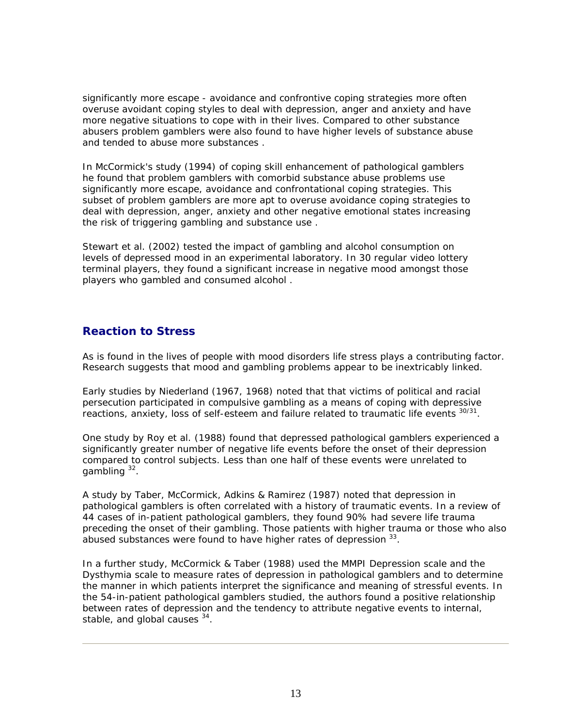significantly more escape - avoidance and confrontive coping strategies more often overuse avoidant coping styles to deal with depression, anger and anxiety and have more negative situations to cope with in their lives. Compared to other substance abusers problem gamblers were also found to have higher levels of substance abuse and tended to abuse more substances .

In McCormick's study (1994) of coping skill enhancement of pathological gamblers he found that problem gamblers with comorbid substance abuse problems use significantly more escape, avoidance and confrontational coping strategies. This subset of problem gamblers are more apt to overuse avoidance coping strategies to deal with depression, anger, anxiety and other negative emotional states increasing the risk of triggering gambling and substance use .

Stewart et al. (2002) tested the impact of gambling and alcohol consumption on levels of depressed mood in an experimental laboratory. In 30 regular video lottery terminal players, they found a significant increase in negative mood amongst those players who gambled and consumed alcohol .

## **Reaction to Stress**

As is found in the lives of people with mood disorders life stress plays a contributing factor. Research suggests that mood and gambling problems appear to be inextricably linked.

Early studies by Niederland (1967, 1968) noted that that victims of political and racial persecution participated in compulsive gambling as a means of coping with depressive reactions, anxiety, loss of self-esteem and failure related to traumatic life events 30/31.

One study by Roy et al. (1988) found that depressed pathological gamblers experienced a significantly greater number of negative life events before the onset of their depression compared to control subjects. Less than one half of these events were unrelated to gambling  $32$ .

A study by Taber, McCormick, Adkins & Ramirez (1987) noted that depression in pathological gamblers is often correlated with a history of traumatic events. In a review of 44 cases of in-patient pathological gamblers, they found 90% had severe life trauma preceding the onset of their gambling. Those patients with higher trauma or those who also abused substances were found to have higher rates of depression 33.

In a further study, McCormick & Taber (1988) used the MMPI Depression scale and the Dysthymia scale to measure rates of depression in pathological gamblers and to determine the manner in which patients interpret the significance and meaning of stressful events. In the 54-in-patient pathological gamblers studied, the authors found a positive relationship between rates of depression and the tendency to attribute negative events to internal, stable, and global causes  $34$ .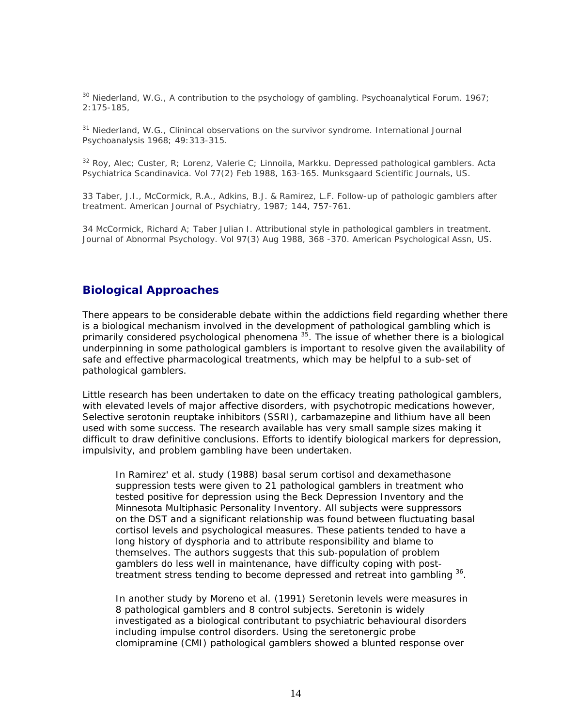30 Niederland, W.G., A contribution to the psychology of gambling. *Psychoanalytical Forum.* 1967; 2:175-185,

31 Niederland, W.G., Clinincal observations on the survivor syndrome. *International Journal Psychoanalysis 1968; 49:313-315.*

32 Roy, Alec; Custer, R; Lorenz, Valerie C; Linnoila, Markku. Depressed pathological gamblers. *Acta Psychiatrica Scandinavica. Vol 77(2)* Feb 1988, 163-165. Munksgaard Scientific Journals, US.

33 Taber, J.I., McCormick, R.A., Adkins, B.J. & Ramirez, L.F. *Follow-up of pathologic gamblers after treatment.* American Journal of Psychiatry, 1987; 144, 757-761.

34 McCormick, Richard A; Taber Julian I. Attributional style in pathological gamblers in treatment. *Journal of Abnormal Psychology.* Vol 97(3) Aug 1988, 368 -370. American Psychological Assn, US.

### **Biological Approaches**

There appears to be considerable debate within the addictions field regarding whether there is a biological mechanism involved in the development of pathological gambling which is primarily considered psychological phenomena<sup>35</sup>. The issue of whether there is a biological underpinning in some pathological gamblers is important to resolve given the availability of safe and effective pharmacological treatments, which may be helpful to a sub-set of pathological gamblers.

Little research has been undertaken to date on the efficacy treating pathological gamblers, with elevated levels of major affective disorders, with psychotropic medications however, Selective serotonin reuptake inhibitors (SSRI), carbamazepine and lithium have all been used with some success. The research available has very small sample sizes making it difficult to draw definitive conclusions. Efforts to identify biological markers for depression, impulsivity, and problem gambling have been undertaken.

In Ramirez' et al. study (1988) basal serum cortisol and dexamethasone suppression tests were given to 21 pathological gamblers in treatment who tested positive for depression using the Beck Depression Inventory and the Minnesota Multiphasic Personality Inventory. All subjects were suppressors on the DST and a significant relationship was found between fluctuating basal cortisol levels and psychological measures. These patients tended to have a long history of dysphoria and to attribute responsibility and blame to themselves. The authors suggests that this sub-population of problem gamblers do less well in maintenance, have difficulty coping with posttreatment stress tending to become depressed and retreat into gambling <sup>36</sup>.

In another study by Moreno et al. (1991) Seretonin levels were measures in 8 pathological gamblers and 8 control subjects. Seretonin is widely investigated as a biological contributant to psychiatric behavioural disorders including impulse control disorders. Using the seretonergic probe clomipramine (CMI) pathological gamblers showed a blunted response over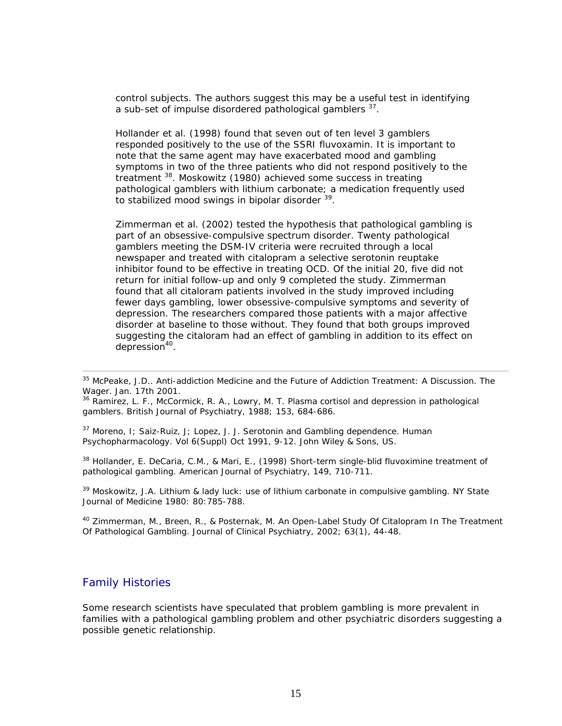control subjects. The authors suggest this may be a useful test in identifying a sub-set of impulse disordered pathological gamblers <sup>37</sup>.

Hollander et al. (1998) found that seven out of ten level 3 gamblers responded positively to the use of the SSRI fluvoxamin. It is important to note that the same agent may have exacerbated mood and gambling symptoms in two of the three patients who did not respond positively to the treatment 38. Moskowitz (1980) achieved some success in treating pathological gamblers with lithium carbonate; a medication frequently used to stabilized mood swings in bipolar disorder <sup>39</sup>.

Zimmerman et al. (2002) tested the hypothesis that pathological gambling is part of an obsessive-compulsive spectrum disorder. Twenty pathological gamblers meeting the DSM-IV criteria were recruited through a local newspaper and treated with citalopram a selective serotonin reuptake inhibitor found to be effective in treating OCD. Of the initial 20, five did not return for initial follow-up and only 9 completed the study. Zimmerman found that all citaloram patients involved in the study improved including fewer days gambling, lower obsessive-compulsive symptoms and severity of depression. The researchers compared those patients with a major affective disorder at baseline to those without. They found that both groups improved suggesting the citaloram had an effect of gambling in addition to its effect on depression<sup>40</sup>.

gamblers. *British Journal of Psychiatry*, 1988; 153, 684-686.

 $37$  Moreno, I: Saiz-Ruiz, J: Lopez, J. J. Serotonin and Gambling dependence. Human *Psychopharmacology. Vol 6(Suppl)* Oct 1991, 9-12. John Wiley & Sons, US.

 $38$  Hollander, E. DeCaria, C.M., & Mari, E., (1998) Short-term single-blid fluvoximine treatment of pathological gambling. *American Journal of Psychiatry*, 149, 710-711.

<sup>39</sup> Moskowitz, J.A. Lithium & lady luck: use of lithium carbonate in compulsive gambling. NY State Journal of Medicine 1980: 80:785-788.

<sup>40</sup> Zimmerman, M., Breen, R., & Posternak, M. An Open-Label Study Of Citalopram In The Treatment Of Pathological Gambling. *Journal of Clinical Psychiatry*, 2002; 63(1), 44-48.

### Family Histories

Some research scientists have speculated that problem gambling is more prevalent in families with a pathological gambling problem and other psychiatric disorders suggesting a possible genetic relationship.

<sup>35</sup> McPeake, J.D.. Anti-addiction Medicine and the Future of Addiction Treatment: A Discussion. *The Wager*. Jan. 17th 2001.<br><sup>36</sup> Ramirez, L. F., McCormick, R. A., Lowry, M. T. Plasma cortisol and depression in pathological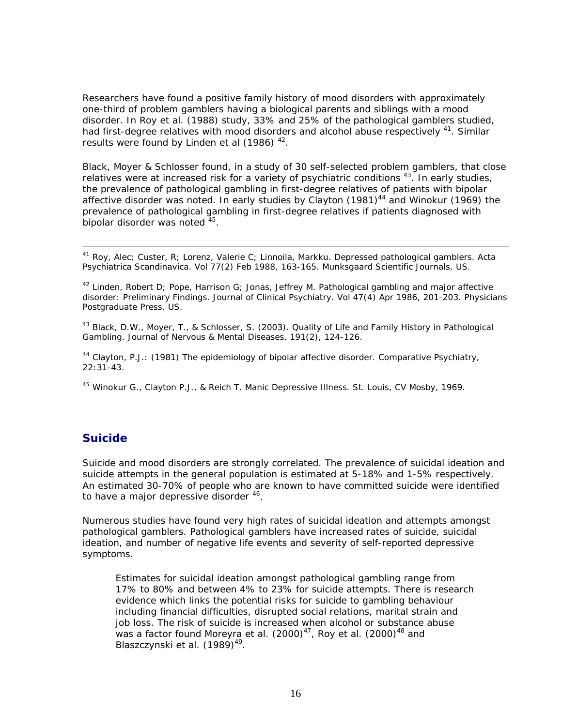Researchers have found a positive family history of mood disorders with approximately one-third of problem gamblers having a biological parents and siblings with a mood disorder. In Roy et al. (1988) study, 33% and 25% of the pathological gamblers studied, had first-degree relatives with mood disorders and alcohol abuse respectively <sup>41</sup>. Similar results were found by Linden et al (1986)<sup>42</sup>.

Black, Moyer & Schlosser found, in a study of 30 self-selected problem gamblers, that close relatives were at increased risk for a variety of psychiatric conditions  $43$ . In early studies, the prevalence of pathological gambling in first-degree relatives of patients with bipolar affective disorder was noted. In early studies by Clayton  $(1981)^{44}$  and Winokur (1969) the prevalence of pathological gambling in first-degree relatives if patients diagnosed with bipolar disorder was noted  $45$ .

41 Roy, Alec; Custer, R; Lorenz, Valerie C; Linnoila, Markku. Depressed pathological gamblers. *Acta Psychiatrica Scandinavica*. Vol 77(2) Feb 1988, 163-165. Munksgaard Scientific Journals, US.

 $42$  Linden, Robert D; Pope, Harrison G; Jonas, Jeffrey M. Pathological gambling and major affective disorder: Preliminary Findings. *Journal of Clinical Psychiatry. Vol 47(4)* Apr 1986, 201-203. Physicians Postgraduate Press, US.

<sup>43</sup> Black, D.W., Moyer, T., & Schlosser, S. (2003). Quality of Life and Family History in Pathological Gambling. *Journal of Nervous & Mental Diseases,* 191(2), 124-126.

44 Clayton, P.J.: (1981) The epidemiology of bipolar affective disorder. *Comparative Psychiatry*, 22:31-43.

<sup>45</sup> Winokur G., Clayton P.J., & Reich T. Manic Depressive Illness. St. Louis, CV Mosby, 1969.

## **Suicide**

Suicide and mood disorders are strongly correlated. The prevalence of suicidal ideation and suicide attempts in the general population is estimated at 5-18% and 1-5% respectively. An estimated 30-70% of people who are known to have committed suicide were identified to have a major depressive disorder <sup>46</sup>.

Numerous studies have found very high rates of suicidal ideation and attempts amongst pathological gamblers. Pathological gamblers have increased rates of suicide, suicidal ideation, and number of negative life events and severity of self-reported depressive symptoms.

Estimates for suicidal ideation amongst pathological gambling range from 17% to 80% and between 4% to 23% for suicide attempts. There is research evidence which links the potential risks for suicide to gambling behaviour including financial difficulties, disrupted social relations, marital strain and job loss. The risk of suicide is increased when alcohol or substance abuse was a factor found Moreyra et al.  $(2000)^{47}$ , Roy et al.  $(2000)^{48}$  and Blaszczynski et al. (1989)<sup>49</sup>.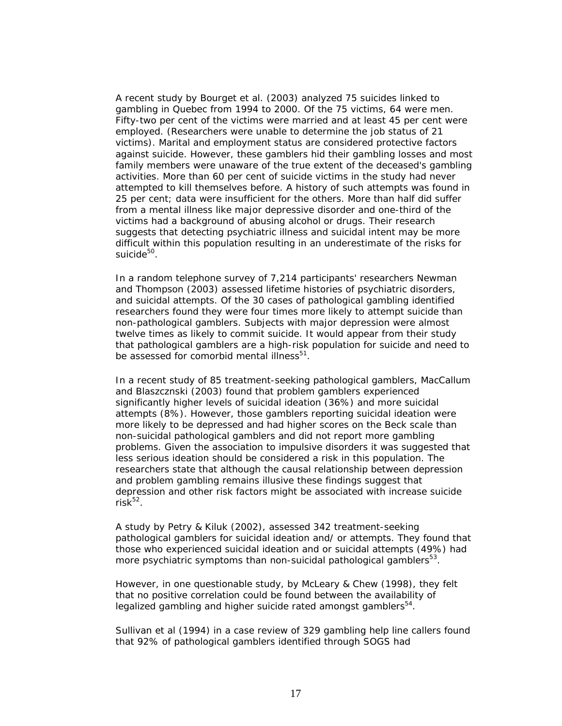A recent study by Bourget et al. (2003) analyzed 75 suicides linked to gambling in Quebec from 1994 to 2000. Of the 75 victims, 64 were men. Fifty-two per cent of the victims were married and at least 45 per cent were employed. (Researchers were unable to determine the job status of 21 victims). Marital and employment status are considered protective factors against suicide. However, these gamblers hid their gambling losses and most family members were unaware of the true extent of the deceased's gambling activities. More than 60 per cent of suicide victims in the study had never attempted to kill themselves before. A history of such attempts was found in 25 per cent; data were insufficient for the others. More than half did suffer from a mental illness like major depressive disorder and one-third of the victims had a background of abusing alcohol or drugs. Their research suggests that detecting psychiatric illness and suicidal intent may be more difficult within this population resulting in an underestimate of the risks for suicide<sup>50</sup>.

In a random telephone survey of 7,214 participants' researchers Newman and Thompson (2003) assessed lifetime histories of psychiatric disorders, and suicidal attempts. Of the 30 cases of pathological gambling identified researchers found they were four times more likely to attempt suicide than non-pathological gamblers. Subjects with major depression were almost twelve times as likely to commit suicide. It would appear from their study that pathological gamblers are a high-risk population for suicide and need to be assessed for comorbid mental illness<sup>51</sup>.

In a recent study of 85 treatment-seeking pathological gamblers, MacCallum and Blaszcznski (2003) found that problem gamblers experienced significantly higher levels of suicidal ideation (36%) and more suicidal attempts (8%). However, those gamblers reporting suicidal ideation were more likely to be depressed and had higher scores on the Beck scale than non-suicidal pathological gamblers and did not report more gambling problems. Given the association to impulsive disorders it was suggested that less serious ideation should be considered a risk in this population. The researchers state that although the causal relationship between depression and problem gambling remains illusive these findings suggest that depression and other risk factors might be associated with increase suicide risk $52$ .

A study by Petry & Kiluk (2002), assessed 342 treatment-seeking pathological gamblers for suicidal ideation and/ or attempts. They found that those who experienced suicidal ideation and or suicidal attempts (49%) had more psychiatric symptoms than non-suicidal pathological gamblers<sup>53</sup>.

However, in one questionable study, by McLeary & Chew (1998), they felt that no positive correlation could be found between the availability of legalized gambling and higher suicide rated amongst gamblers<sup>54</sup>.

Sullivan et al (1994) in a case review of 329 gambling help line callers found that 92% of pathological gamblers identified through SOGS had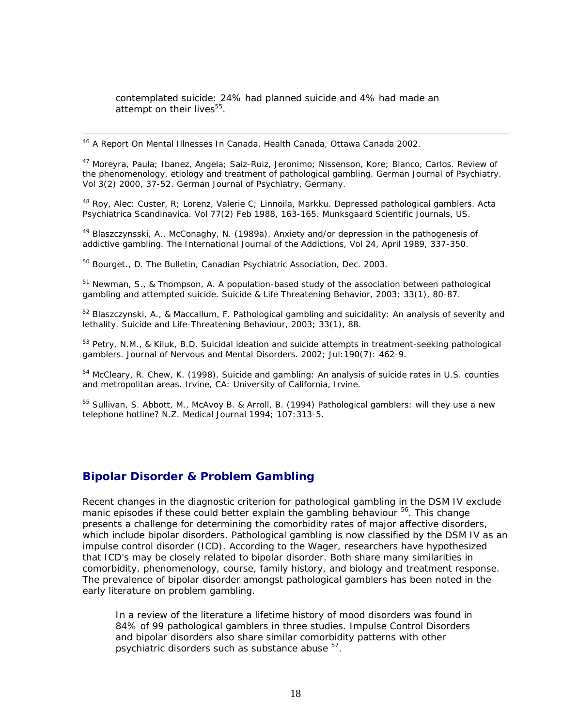contemplated suicide: 24% had planned suicide and 4% had made an attempt on their lives<sup>55</sup>.

46 A Report On Mental Illnesses In Canada. Health Canada, Ottawa Canada 2002.

47 Moreyra, Paula; Ibanez, Angela; Saiz-Ruiz, Jeronimo; Nissenson, Kore; Blanco, Carlos. Review of the phenomenology, etiology and treatment of pathological gambling. *German Journal of Psychiatry. Vol 3(2)* 2000, 37-52. German Journal of Psychiatry, Germany.

48 Roy, Alec; Custer, R; Lorenz, Valerie C; Linnoila, Markku. Depressed pathological gamblers. *Acta Psychiatrica Scandinavica. Vol 77(2)* Feb 1988, 163-165. Munksgaard Scientific Journals, US.

 $49$  Blaszczynsski, A., McConaghy, N. (1989a). Anxiety and/or depression in the pathogenesis of addictive gambling. *The International Journal of the Addictions, Vol 24,* April 1989, 337-350.

50 Bourget., D. *The Bulletin*, Canadian Psychiatric Association, Dec. 2003.

 $51$  Newman, S., & Thompson, A. A population-based study of the association between pathological gambling and attempted suicide. *Suicide & Life Threatening Behavior*, 2003; 33(1), 80-87.

<sup>52</sup> Blaszczynski, A., & Maccallum, F. Pathological gambling and suicidality: An analysis of severity and lethality. *Suicide and Life-Threatening Behaviour*, 2003; 33(1), 88.

<sup>53</sup> Petry, N.M., & Kiluk, B.D. Suicidal ideation and suicide attempts in treatment-seeking pathological gamblers. *Journal of Nervous and Mental Disorders*. 2002; Jul:190(7): 462-9.

<sup>54</sup> McCleary, R. Chew, K. (1998). Suicide and gambling: An analysis of suicide rates in U.S. counties and metropolitan areas. Irvine, CA: University of California, Irvine.

<sup>55</sup> Sullivan, S. Abbott, M., McAvoy B. & Arroll, B. (1994) Pathological gamblers: will they use a new telephone hotline? N.Z. Medical Journal 1994; 107:313-5.

## **Bipolar Disorder & Problem Gambling**

Recent changes in the diagnostic criterion for pathological gambling in the DSM IV exclude manic episodes if these could better explain the gambling behaviour <sup>56</sup>. This change presents a challenge for determining the comorbidity rates of major affective disorders, which include bipolar disorders. Pathological gambling is now classified by the DSM IV as an impulse control disorder (ICD). According to the Wager, researchers have hypothesized that ICD's may be closely related to bipolar disorder. Both share many similarities in comorbidity, phenomenology, course, family history, and biology and treatment response. The prevalence of bipolar disorder amongst pathological gamblers has been noted in the early literature on problem gambling.

In a review of the literature a lifetime history of mood disorders was found in 84% of 99 pathological gamblers in three studies. Impulse Control Disorders and bipolar disorders also share similar comorbidity patterns with other psychiatric disorders such as substance abuse  $57$ .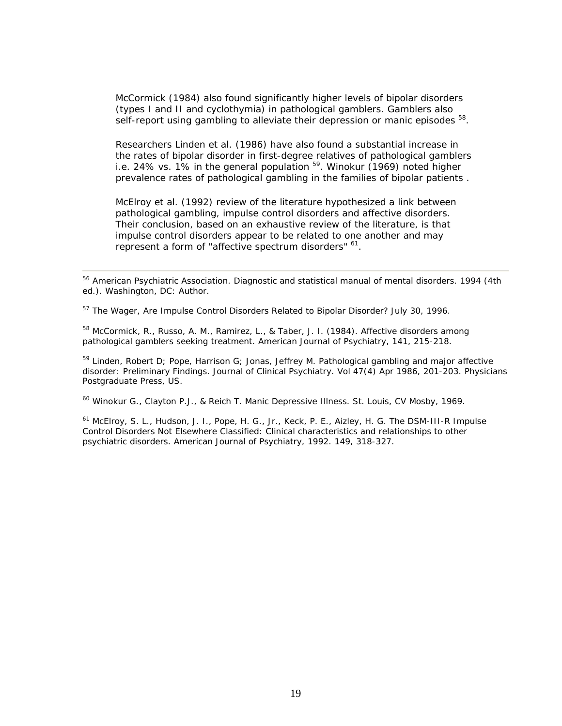McCormick (1984) also found significantly higher levels of bipolar disorders (types I and II and cyclothymia) in pathological gamblers. Gamblers also self-report using gambling to alleviate their depression or manic episodes <sup>58</sup>.

Researchers Linden et al. (1986) have also found a substantial increase in the rates of bipolar disorder in first-degree relatives of pathological gamblers i.e. 24% vs. 1% in the general population  $59$ . Winokur (1969) noted higher prevalence rates of pathological gambling in the families of bipolar patients .

McElroy et al. (1992) review of the literature hypothesized a link between pathological gambling, impulse control disorders and affective disorders. Their conclusion, based on an exhaustive review of the literature, is that impulse control disorders appear to be related to one another and may represent a form of "affective spectrum disorders"  $61$ .

<sup>57</sup> The Wager, Are Impulse Control Disorders Related to Bipolar Disorder? July 30, 1996.

<sup>58</sup> McCormick, R., Russo, A. M., Ramirez, L., & Taber, J. I. (1984). Affective disorders among pathological gamblers seeking treatment. American Journal of Psychiatry, 141, 215-218.

<sup>59</sup> Linden, Robert D; Pope, Harrison G; Jonas, Jeffrey M. Pathological gambling and major affective disorder: Preliminary Findings. Journal of Clinical Psychiatry. Vol 47(4) Apr 1986, 201-203. Physicians Postgraduate Press, US.

<sup>60</sup> Winokur G., Clayton P.J., & Reich T. Manic Depressive Illness. St. Louis, CV Mosby, 1969.

<sup>61</sup> McElroy, S. L., Hudson, J. I., Pope, H. G., Jr., Keck, P. E., Aizley, H. G. The DSM-III-R Impulse Control Disorders Not Elsewhere Classified: Clinical characteristics and relationships to other psychiatric disorders. *American Journal of Psychiatry,* 1992. 149, 318-327.

<sup>&</sup>lt;sup>56</sup> American Psychiatric Association. Diagnostic and statistical manual of mental disorders. 1994 (4th ed.). Washington, DC: Author.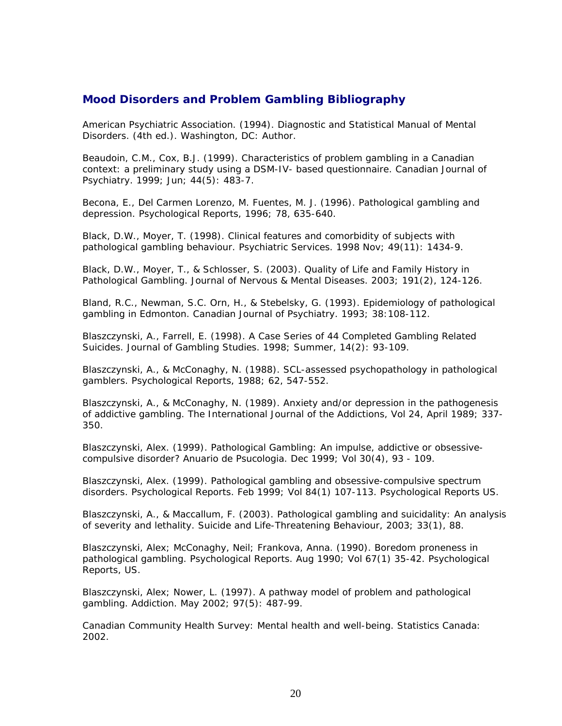## **Mood Disorders and Problem Gambling Bibliography**

American Psychiatric Association. (1994). Diagnostic and Statistical Manual of Mental Disorders. (4th ed.). Washington, DC: Author.

Beaudoin, C.M., Cox, B.J. (1999). Characteristics of problem gambling in a Canadian context: a preliminary study using a DSM-IV- based questionnaire. Canadian Journal of Psychiatry. 1999; Jun; 44(5): 483-7.

Becona, E., Del Carmen Lorenzo, M. Fuentes, M. J. (1996). Pathological gambling and depression. Psychological Reports, 1996; 78, 635-640.

Black, D.W., Moyer, T. (1998). Clinical features and comorbidity of subjects with pathological gambling behaviour. Psychiatric Services. 1998 Nov; 49(11): 1434-9.

Black, D.W., Moyer, T., & Schlosser, S. (2003). Quality of Life and Family History in Pathological Gambling. Journal of Nervous & Mental Diseases. 2003; 191(2), 124-126.

Bland, R.C., Newman, S.C. Orn, H., & Stebelsky, G. (1993). Epidemiology of pathological gambling in Edmonton. Canadian Journal of Psychiatry. 1993; 38:108-112.

Blaszczynski, A., Farrell, E. (1998). A Case Series of 44 Completed Gambling Related Suicides. Journal of Gambling Studies. 1998; Summer, 14(2): 93-109.

Blaszczynski, A., & McConaghy, N. (1988). SCL-assessed psychopathology in pathological gamblers. Psychological Reports, 1988; 62, 547-552.

Blaszczynski, A., & McConaghy, N. (1989). Anxiety and/or depression in the pathogenesis of addictive gambling. The International Journal of the Addictions, Vol 24, April 1989; 337- 350.

Blaszczynski, Alex. (1999). Pathological Gambling: An impulse, addictive or obsessivecompulsive disorder? Anuario de Psucologia. Dec 1999; Vol 30(4), 93 - 109.

Blaszczynski, Alex. (1999). Pathological gambling and obsessive-compulsive spectrum disorders. Psychological Reports. Feb 1999; Vol 84(1) 107-113. Psychological Reports US.

Blaszczynski, A., & Maccallum, F. (2003). Pathological gambling and suicidality: An analysis of severity and lethality. Suicide and Life-Threatening Behaviour, 2003; 33(1), 88.

Blaszczynski, Alex; McConaghy, Neil; Frankova, Anna. (1990). Boredom proneness in pathological gambling. Psychological Reports. Aug 1990; Vol 67(1) 35-42. Psychological Reports, US.

Blaszczynski, Alex; Nower, L. (1997). A pathway model of problem and pathological gambling. Addiction. May 2002; 97(5): 487-99.

Canadian Community Health Survey: Mental health and well-being. Statistics Canada: 2002.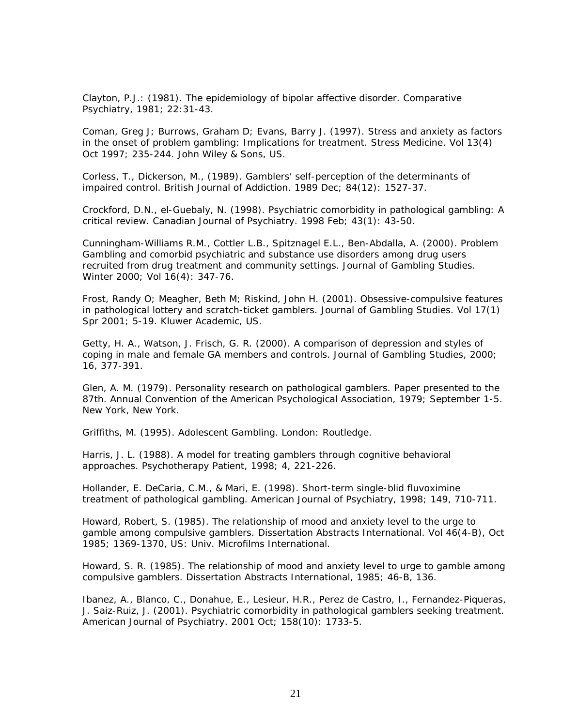Clayton, P.J.: (1981). The epidemiology of bipolar affective disorder. Comparative Psychiatry, 1981; 22:31-43.

Coman, Greg J; Burrows, Graham D; Evans, Barry J. (1997). Stress and anxiety as factors in the onset of problem gambling: Implications for treatment. Stress Medicine. Vol 13(4) Oct 1997; 235-244. John Wiley & Sons, US.

Corless, T., Dickerson, M., (1989). Gamblers' self-perception of the determinants of impaired control. British Journal of Addiction. 1989 Dec; 84(12): 1527-37.

Crockford, D.N., el-Guebaly, N. (1998). Psychiatric comorbidity in pathological gambling: A critical review. Canadian Journal of Psychiatry. 1998 Feb; 43(1): 43-50.

Cunningham-Williams R.M., Cottler L.B., Spitznagel E.L., Ben-Abdalla, A. (2000). Problem Gambling and comorbid psychiatric and substance use disorders among drug users recruited from drug treatment and community settings. Journal of Gambling Studies. Winter 2000; Vol 16(4): 347-76.

Frost, Randy O; Meagher, Beth M; Riskind, John H. (2001). Obsessive-compulsive features in pathological lottery and scratch-ticket gamblers. Journal of Gambling Studies. Vol 17(1) Spr 2001; 5-19. Kluwer Academic, US.

Getty, H. A., Watson, J. Frisch, G. R. (2000). A comparison of depression and styles of coping in male and female GA members and controls. Journal of Gambling Studies, 2000; 16, 377-391.

Glen, A. M. (1979). Personality research on pathological gamblers. Paper presented to the 87th. Annual Convention of the American Psychological Association, 1979; September 1-5. New York, New York.

Griffiths, M. (1995). Adolescent Gambling. London: Routledge.

Harris, J. L. (1988). A model for treating gamblers through cognitive behavioral approaches. Psychotherapy Patient, 1998; 4, 221-226.

Hollander, E. DeCaria, C.M., & Mari, E. (1998). Short-term single-blid fluvoximine treatment of pathological gambling. American Journal of Psychiatry, 1998; 149, 710-711.

Howard, Robert, S. (1985). The relationship of mood and anxiety level to the urge to gamble among compulsive gamblers. Dissertation Abstracts International. Vol 46(4-B), Oct 1985; 1369-1370, US: Univ. Microfilms International.

Howard, S. R. (1985). The relationship of mood and anxiety level to urge to gamble among compulsive gamblers. Dissertation Abstracts International, 1985; 46-B, 136.

Ibanez, A., Blanco, C., Donahue, E., Lesieur, H.R., Perez de Castro, I., Fernandez-Piqueras, J. Saiz-Ruiz, J. (2001). Psychiatric comorbidity in pathological gamblers seeking treatment. American Journal of Psychiatry. 2001 Oct; 158(10): 1733-5.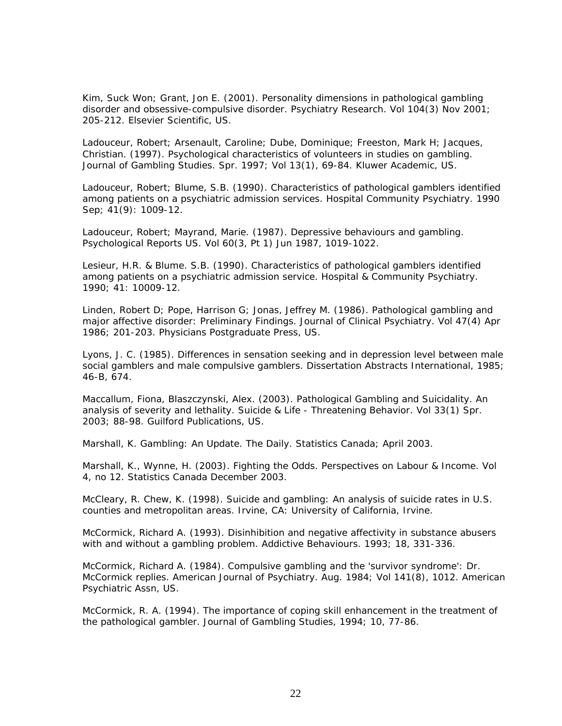Kim, Suck Won; Grant, Jon E. (2001). Personality dimensions in pathological gambling disorder and obsessive-compulsive disorder. Psychiatry Research. Vol 104(3) Nov 2001; 205-212. Elsevier Scientific, US.

Ladouceur, Robert; Arsenault, Caroline; Dube, Dominique; Freeston, Mark H; Jacques, Christian. (1997). Psychological characteristics of volunteers in studies on gambling. Journal of Gambling Studies. Spr. 1997; Vol 13(1), 69-84. Kluwer Academic, US.

Ladouceur, Robert; Blume, S.B. (1990). Characteristics of pathological gamblers identified among patients on a psychiatric admission services. Hospital Community Psychiatry. 1990 Sep; 41(9): 1009-12.

Ladouceur, Robert; Mayrand, Marie. (1987). Depressive behaviours and gambling. Psychological Reports US. Vol 60(3, Pt 1) Jun 1987, 1019-1022.

Lesieur, H.R. & Blume. S.B. (1990). Characteristics of pathological gamblers identified among patients on a psychiatric admission service. Hospital & Community Psychiatry. 1990; 41: 10009-12.

Linden, Robert D; Pope, Harrison G; Jonas, Jeffrey M. (1986). Pathological gambling and major affective disorder: Preliminary Findings. Journal of Clinical Psychiatry. Vol 47(4) Apr 1986; 201-203. Physicians Postgraduate Press, US.

Lyons, J. C. (1985). Differences in sensation seeking and in depression level between male social gamblers and male compulsive gamblers. Dissertation Abstracts International, 1985; 46-B, 674.

Maccallum, Fiona, Blaszczynski, Alex. (2003). Pathological Gambling and Suicidality. An analysis of severity and lethality. Suicide & Life - Threatening Behavior. Vol 33(1) Spr. 2003; 88-98. Guilford Publications, US.

Marshall, K. Gambling: An Update. The Daily. Statistics Canada; April 2003.

Marshall, K., Wynne, H. (2003). Fighting the Odds. Perspectives on Labour & Income. Vol 4, no 12. Statistics Canada December 2003.

McCleary, R. Chew, K. (1998). Suicide and gambling: An analysis of suicide rates in U.S. counties and metropolitan areas. Irvine, CA: University of California, Irvine.

McCormick, Richard A. (1993). Disinhibition and negative affectivity in substance abusers with and without a gambling problem. Addictive Behaviours. 1993; 18, 331-336.

McCormick, Richard A. (1984). Compulsive gambling and the 'survivor syndrome': Dr. McCormick replies. American Journal of Psychiatry. Aug. 1984; Vol 141(8), 1012. American Psychiatric Assn, US.

McCormick, R. A. (1994). The importance of coping skill enhancement in the treatment of the pathological gambler. Journal of Gambling Studies, 1994; 10, 77-86.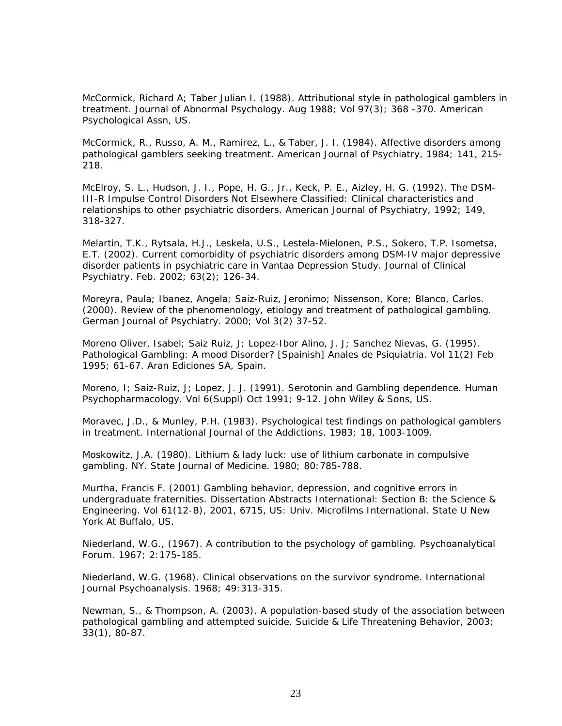McCormick, Richard A; Taber Julian I. (1988). Attributional style in pathological gamblers in treatment. Journal of Abnormal Psychology. Aug 1988; Vol 97(3); 368 -370. American Psychological Assn, US.

McCormick, R., Russo, A. M., Ramirez, L., & Taber, J. I. (1984). Affective disorders among pathological gamblers seeking treatment. American Journal of Psychiatry, 1984; 141, 215- 218.

McElroy, S. L., Hudson, J. I., Pope, H. G., Jr., Keck, P. E., Aizley, H. G. (1992). The DSM-III-R Impulse Control Disorders Not Elsewhere Classified: Clinical characteristics and relationships to other psychiatric disorders. American Journal of Psychiatry, 1992; 149, 318-327.

Melartin, T.K., Rytsala, H.J., Leskela, U.S., Lestela-Mielonen, P.S., Sokero, T.P. Isometsa, E.T. (2002). Current comorbidity of psychiatric disorders among DSM-IV major depressive disorder patients in psychiatric care in Vantaa Depression Study. Journal of Clinical Psychiatry. Feb. 2002; 63(2); 126-34.

Moreyra, Paula; Ibanez, Angela; Saiz-Ruiz, Jeronimo; Nissenson, Kore; Blanco, Carlos. (2000). Review of the phenomenology, etiology and treatment of pathological gambling. German Journal of Psychiatry. 2000; Vol 3(2) 37-52.

Moreno Oliver, Isabel; Saiz Ruiz, J; Lopez-Ibor Alino, J. J; Sanchez Nievas, G. (1995). Pathological Gambling: A mood Disorder? [Spainish] Anales de Psiquiatria. Vol 11(2) Feb 1995; 61-67. Aran Ediciones SA, Spain.

Moreno, I; Saiz-Ruiz, J; Lopez, J. J. (1991). Serotonin and Gambling dependence. Human Psychopharmacology. Vol 6(Suppl) Oct 1991; 9-12. John Wiley & Sons, US.

Moravec, J.D., & Munley, P.H. (1983). Psychological test findings on pathological gamblers in treatment. International Journal of the Addictions. 1983; 18, 1003-1009.

Moskowitz, J.A. (1980). Lithium & lady luck: use of lithium carbonate in compulsive gambling. NY. State Journal of Medicine. 1980; 80:785-788.

Murtha, Francis F. (2001) Gambling behavior, depression, and cognitive errors in undergraduate fraternities. Dissertation Abstracts International: Section B: the Science & Engineering. Vol 61(12-B), 2001, 6715, US: Univ. Microfilms International. State U New York At Buffalo, US.

Niederland, W.G., (1967). A contribution to the psychology of gambling. Psychoanalytical Forum. 1967; 2:175-185.

Niederland, W.G. (1968). Clinical observations on the survivor syndrome. International Journal Psychoanalysis. 1968; 49:313-315.

Newman, S., & Thompson, A. (2003). A population-based study of the association between pathological gambling and attempted suicide. Suicide & Life Threatening Behavior, 2003; 33(1), 80-87.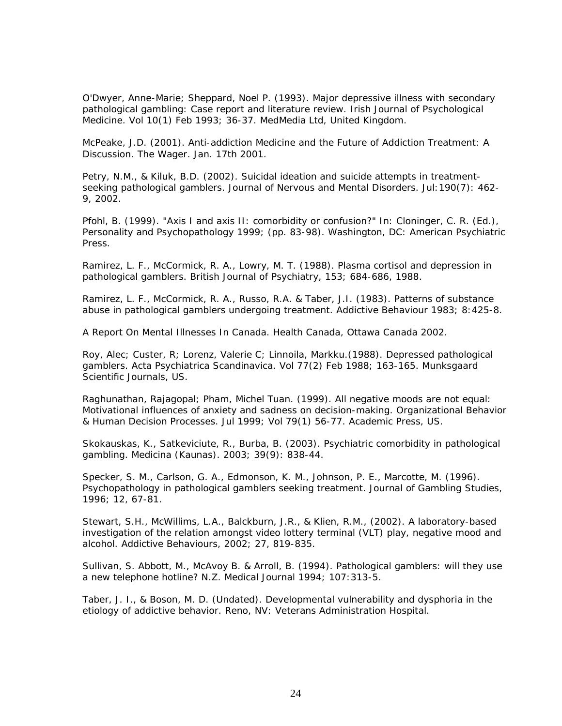O'Dwyer, Anne-Marie; Sheppard, Noel P. (1993). Major depressive illness with secondary pathological gambling: Case report and literature review. Irish Journal of Psychological Medicine. Vol 10(1) Feb 1993; 36-37. MedMedia Ltd, United Kingdom.

McPeake, J.D. (2001). Anti-addiction Medicine and the Future of Addiction Treatment: A Discussion. The Wager. Jan. 17th 2001.

Petry, N.M., & Kiluk, B.D. (2002). Suicidal ideation and suicide attempts in treatmentseeking pathological gamblers. Journal of Nervous and Mental Disorders. Jul:190(7): 462- 9, 2002.

Pfohl, B. (1999). "Axis I and axis II: comorbidity or confusion?" In: Cloninger, C. R. (Ed.), Personality and Psychopathology 1999; (pp. 83-98). Washington, DC: American Psychiatric Press.

Ramirez, L. F., McCormick, R. A., Lowry, M. T. (1988). Plasma cortisol and depression in pathological gamblers. British Journal of Psychiatry, 153; 684-686, 1988.

Ramirez, L. F., McCormick, R. A., Russo, R.A. & Taber, J.I. (1983). Patterns of substance abuse in pathological gamblers undergoing treatment. Addictive Behaviour 1983; 8:425-8.

A Report On Mental Illnesses In Canada. Health Canada, Ottawa Canada 2002.

Roy, Alec; Custer, R; Lorenz, Valerie C; Linnoila, Markku.(1988). Depressed pathological gamblers. Acta Psychiatrica Scandinavica. Vol 77(2) Feb 1988; 163-165. Munksgaard Scientific Journals, US.

Raghunathan, Rajagopal; Pham, Michel Tuan. (1999). All negative moods are not equal: Motivational influences of anxiety and sadness on decision-making. Organizational Behavior & Human Decision Processes. Jul 1999; Vol 79(1) 56-77. Academic Press, US.

Skokauskas, K., Satkeviciute, R., Burba, B. (2003). Psychiatric comorbidity in pathological gambling. Medicina (Kaunas). 2003; 39(9): 838-44.

Specker, S. M., Carlson, G. A., Edmonson, K. M., Johnson, P. E., Marcotte, M. (1996). Psychopathology in pathological gamblers seeking treatment. Journal of Gambling Studies, 1996; 12, 67-81.

Stewart, S.H., McWillims, L.A., Balckburn, J.R., & Klien, R.M., (2002). A laboratory-based investigation of the relation amongst video lottery terminal (VLT) play, negative mood and alcohol. Addictive Behaviours, 2002; 27, 819-835.

Sullivan, S. Abbott, M., McAvoy B. & Arroll, B. (1994). Pathological gamblers: will they use a new telephone hotline? N.Z. Medical Journal 1994; 107:313-5.

Taber, J. I., & Boson, M. D. (Undated). Developmental vulnerability and dysphoria in the etiology of addictive behavior. Reno, NV: Veterans Administration Hospital.